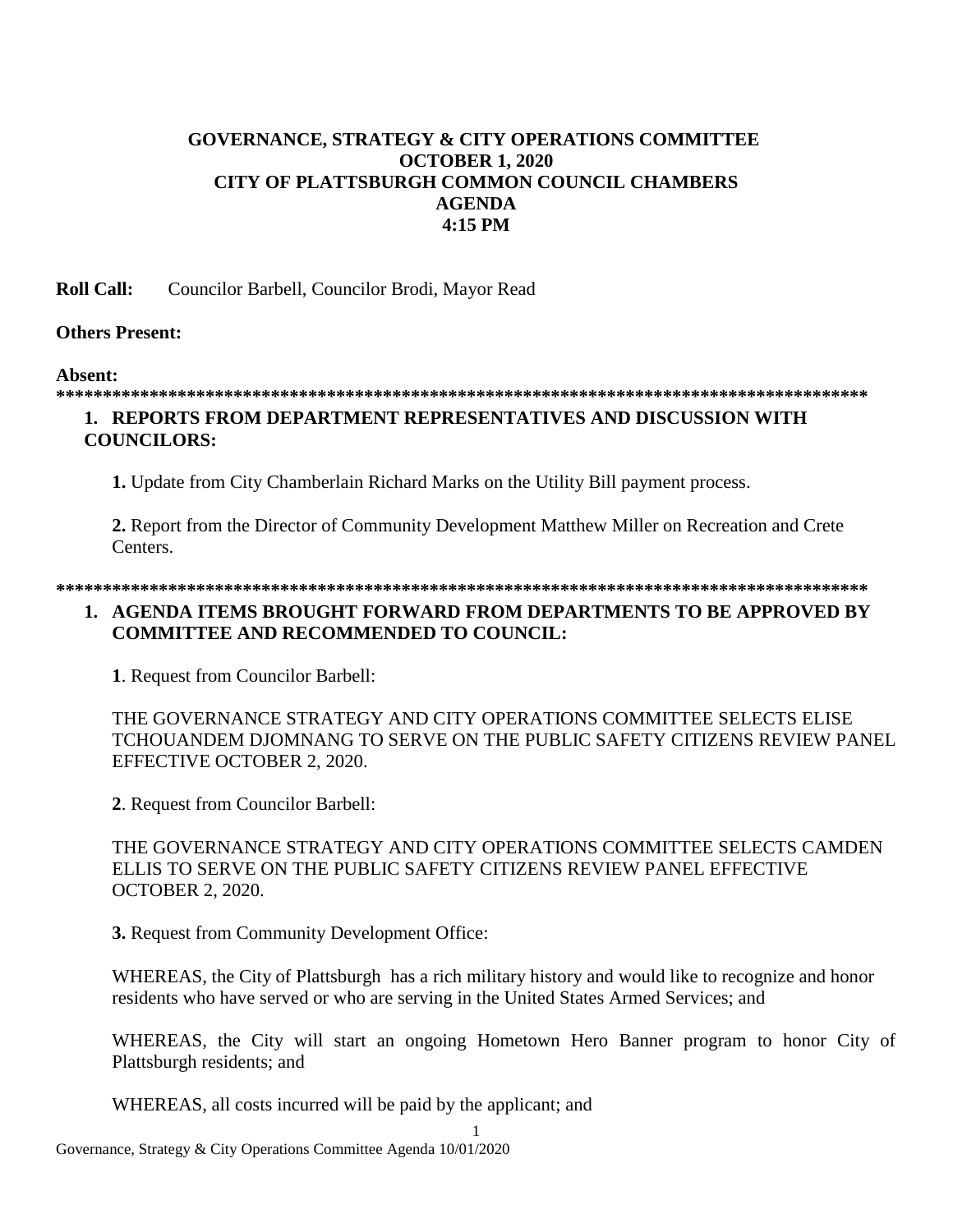# **GOVERNANCE, STRATEGY & CITY OPERATIONS COMMITTEE OCTOBER 1, 2020 CITY OF PLATTSBURGH COMMON COUNCIL CHAMBERS AGENDA 4:15 PM**

**Roll Call:** Councilor Barbell, Councilor Brodi, Mayor Read

### **Others Present:**

### **Absent:**

### **\*\*\*\*\*\*\*\*\*\*\*\*\*\*\*\*\*\*\*\*\*\*\*\*\*\*\*\*\*\*\*\*\*\*\*\*\*\*\*\*\*\*\*\*\*\*\*\*\*\*\*\*\*\*\*\*\*\*\*\*\*\*\*\*\*\*\*\*\*\*\*\*\*\*\*\*\*\*\*\*\*\*\*\*\*\*\***

## **1. REPORTS FROM DEPARTMENT REPRESENTATIVES AND DISCUSSION WITH COUNCILORS:**

**1.** Update from City Chamberlain Richard Marks on the Utility Bill payment process.

**2.** Report from the Director of Community Development Matthew Miller on Recreation and Crete Centers.

### **\*\*\*\*\*\*\*\*\*\*\*\*\*\*\*\*\*\*\*\*\*\*\*\*\*\*\*\*\*\*\*\*\*\*\*\*\*\*\*\*\*\*\*\*\*\*\*\*\*\*\*\*\*\*\*\*\*\*\*\*\*\*\*\*\*\*\*\*\*\*\*\*\*\*\*\*\*\*\*\*\*\*\*\*\*\*\***

## **1. AGENDA ITEMS BROUGHT FORWARD FROM DEPARTMENTS TO BE APPROVED BY COMMITTEE AND RECOMMENDED TO COUNCIL:**

**1**. Request from Councilor Barbell:

THE GOVERNANCE STRATEGY AND CITY OPERATIONS COMMITTEE SELECTS ELISE TCHOUANDEM DJOMNANG TO SERVE ON THE PUBLIC SAFETY CITIZENS REVIEW PANEL EFFECTIVE OCTOBER 2, 2020.

**2**. Request from Councilor Barbell:

THE GOVERNANCE STRATEGY AND CITY OPERATIONS COMMITTEE SELECTS CAMDEN ELLIS TO SERVE ON THE PUBLIC SAFETY CITIZENS REVIEW PANEL EFFECTIVE OCTOBER 2, 2020.

**3.** Request from Community Development Office:

WHEREAS, the City of Plattsburgh has a rich military history and would like to recognize and honor residents who have served or who are serving in the United States Armed Services; and

WHEREAS, the City will start an ongoing Hometown Hero Banner program to honor City of Plattsburgh residents; and

WHEREAS, all costs incurred will be paid by the applicant; and